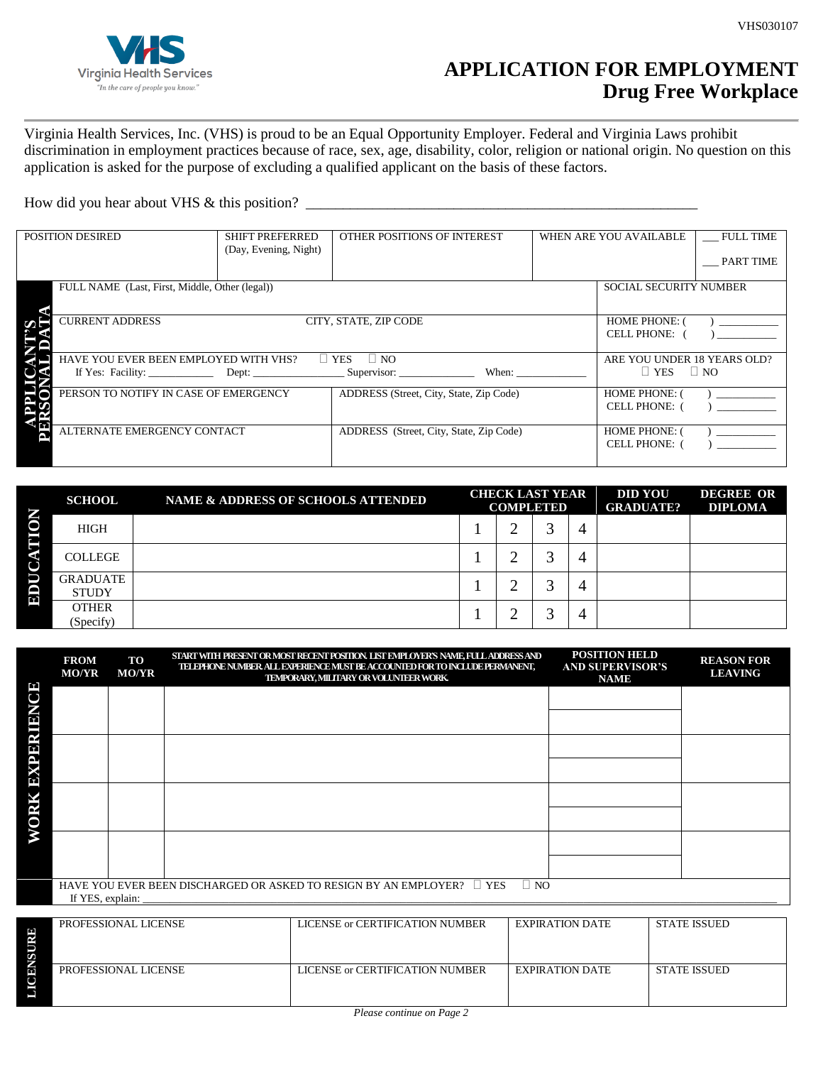

## **APPLICATION FOR EMPLOYMENT Drug Free Workplace**

Virginia Health Services, Inc. (VHS) is proud to be an Equal Opportunity Employer. Federal and Virginia Laws prohibit discrimination in employment practices because of race, sex, age, disability, color, religion or national origin. No question on this application is asked for the purpose of excluding a qualified applicant on the basis of these factors.

How did you hear about VHS & this position?

| <b>POSITION DESIRED</b> |                                                | <b>SHIFT PREFERRED</b><br>(Day, Evening, Night) | OTHER POSITIONS OF INTEREST                        | WHEN ARE YOU AVAILABLE |                                            | <b>FULL TIME</b><br>PART TIME |
|-------------------------|------------------------------------------------|-------------------------------------------------|----------------------------------------------------|------------------------|--------------------------------------------|-------------------------------|
|                         |                                                |                                                 |                                                    |                        |                                            |                               |
|                         | FULL NAME (Last, First, Middle, Other (legal)) |                                                 |                                                    |                        | <b>SOCIAL SECURITY NUMBER</b>              |                               |
| ∽⊧                      | <b>CURRENT ADDRESS</b>                         | <b>HOME PHONE: (</b><br><b>CELL PHONE:</b>      |                                                    |                        |                                            |                               |
|                         | HAVE YOU EVER BEEN EMPLOYED WITH VHS?          |                                                 | $\Box$ YES<br>$\Box$ NO                            |                        | ARE YOU UNDER 18 YEARS OLD?                |                               |
|                         |                                                |                                                 | If Yes: Facility: Dept: Dept: Supervisor:<br>When: |                        | $\Box$ YES $\Box$ NO                       |                               |
|                         | PERSON TO NOTIFY IN CASE OF EMERGENCY          |                                                 | ADDRESS (Street, City, State, Zip Code)            |                        | <b>HOME PHONE: (</b><br><b>CELL PHONE:</b> |                               |
| r.                      | ALTERNATE EMERGENCY CONTACT                    |                                                 | ADDRESS (Street, City, State, Zip Code)            |                        | <b>HOME PHONE: (</b><br><b>CELL PHONE:</b> |                               |

|             | <b>SCHOOL</b>                   | NAME & ADDRESS OF SCHOOLS ATTENDED | <b>CHECK LAST YEAR</b><br><b>COMPLETED</b> |        | <b>DID YOU</b><br><b>GRADUATE?</b> | <b>DEGREE OR</b><br><b>DIPLOMA</b> |  |
|-------------|---------------------------------|------------------------------------|--------------------------------------------|--------|------------------------------------|------------------------------------|--|
| <b>NOI</b>  | <b>HIGH</b>                     |                                    |                                            | ◠      | 4                                  |                                    |  |
| Е<br>⋖<br>◡ | <b>COLLEGE</b>                  |                                    |                                            | ◠<br>∽ |                                    |                                    |  |
| Ď<br>ED     | <b>GRADUATE</b><br><b>STUDY</b> |                                    |                                            |        |                                    |                                    |  |
|             | <b>OTHER</b><br>(Specify)       |                                    |                                            | ◠      |                                    |                                    |  |

|                   | <b>FROM</b><br><b>MO/YR</b>                                                                                  | TO<br><b>MO/YR</b> | START WITH PRESENT OR MOST RECENT POSITION. LIST EMPLOYER'S NAME, FULL ADDRESS AND<br>TELEPHONE NUMBER ALL EXPERIENCE MUST BE ACCOUNTED FOR TO INCLUDE PERMANENT,<br>TEMPORARY, MILITARY OR VOLUNTEER WORK. | <b>POSITION HELD</b><br><b>AND SUPERVISOR'S</b><br><b>NAME</b> | <b>REASON FOR</b><br><b>LEAVING</b> |  |
|-------------------|--------------------------------------------------------------------------------------------------------------|--------------------|-------------------------------------------------------------------------------------------------------------------------------------------------------------------------------------------------------------|----------------------------------------------------------------|-------------------------------------|--|
| <b>EXPERIENCE</b> |                                                                                                              |                    |                                                                                                                                                                                                             |                                                                |                                     |  |
|                   |                                                                                                              |                    |                                                                                                                                                                                                             |                                                                |                                     |  |
|                   |                                                                                                              |                    |                                                                                                                                                                                                             |                                                                |                                     |  |
|                   |                                                                                                              |                    |                                                                                                                                                                                                             |                                                                |                                     |  |
|                   |                                                                                                              |                    |                                                                                                                                                                                                             |                                                                |                                     |  |
| WORK              |                                                                                                              |                    |                                                                                                                                                                                                             |                                                                |                                     |  |
|                   |                                                                                                              |                    |                                                                                                                                                                                                             |                                                                |                                     |  |
|                   |                                                                                                              |                    |                                                                                                                                                                                                             |                                                                |                                     |  |
|                   | $\Box$ NO<br>HAVE YOU EVER BEEN DISCHARGED OR ASKED TO RESIGN BY AN EMPLOYER? $\Box$ YES<br>If YES, explain: |                    |                                                                                                                                                                                                             |                                                                |                                     |  |

**LICENSURE** PROFESSIONAL LICENSE LICENSE LICENSE OF CERTIFICATION NUMBER EXPIRATION DATE STATE ISSUED PROFESSIONAL LICENSE LICENSE LICENSE or CERTIFICATION NUMBER EXPIRATION DATE STATE ISSUED